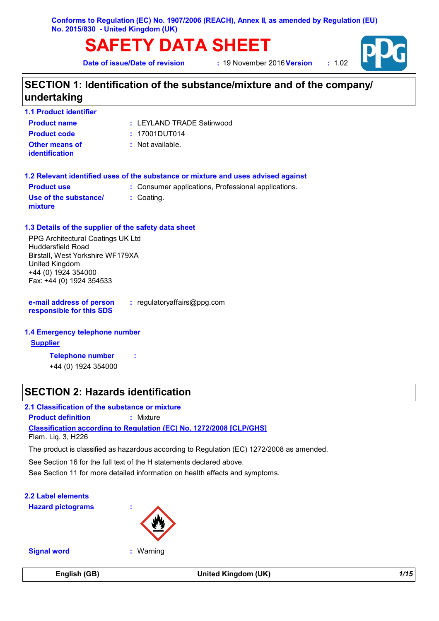# **SAFETY DATA SHEET**

**Date of issue/Date of revision** 

**2** 19 November 2016 **Version :** 1.02



# **SECTION 1: Identification of the substance/mixture and of the company/ undertaking**

| <b>1.1 Product identifier</b> |  |
|-------------------------------|--|
|-------------------------------|--|

| <b>Product name</b>              | : LEYLAND TRADE Satinwood |
|----------------------------------|---------------------------|
| <b>Product code</b>              | : 17001DUTO14             |
| Other means of<br>identification | : Not available.          |

| <b>Product use</b>               | : Consumer applications, Professional applications. |
|----------------------------------|-----------------------------------------------------|
| Use of the substance/<br>mixture | : Coating.                                          |

#### **1.3 Details of the supplier of the safety data sheet**

PPG Architectural Coatings UK Ltd Huddersfield Road Birstall, West Yorkshire WF179XA United Kingdom +44 (0) 1924 354000 Fax: +44 (0) 1924 354533

**e-mail address of person responsible for this SDS :** regulatoryaffairs@ppg.com

#### **1.4 Emergency telephone number**

#### **Supplier**

**Telephone number :**

+44 (0) 1924 354000

# **SECTION 2: Hazards identification**

#### **2.1 Classification of the substance or mixture**

**Classification according to Regulation (EC) No. 1272/2008 [CLP/GHS] Product definition :** Mixture Flam. Liq. 3, H226

The product is classified as hazardous according to Regulation (EC) 1272/2008 as amended.

See Section 16 for the full text of the H statements declared above.

See Section 11 for more detailed information on health effects and symptoms.

**2.2 Label elements Hazard pictograms :**



**Signal word :** Warning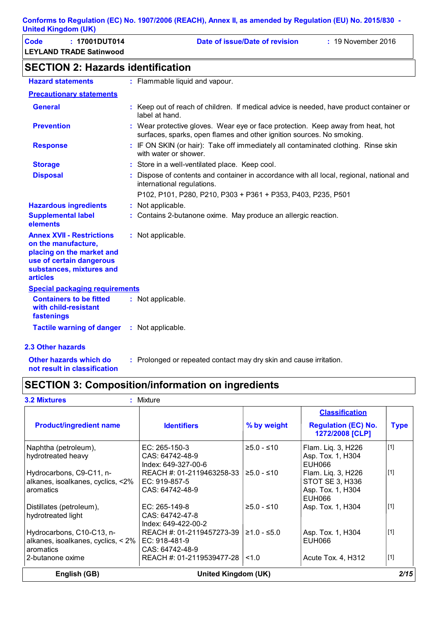| Code | : 17001DUT014<br><b>LEYLAND TRADE Satinwood</b> | Date of issue/Date of revision | $\div$ 19 November 2016 |
|------|-------------------------------------------------|--------------------------------|-------------------------|
|      |                                                 |                                |                         |

# **SECTION 2: Hazards identification**

| <b>Hazard statements</b>                                                                                                                                        | : Flammable liquid and vapour.                                                                                                                           |
|-----------------------------------------------------------------------------------------------------------------------------------------------------------------|----------------------------------------------------------------------------------------------------------------------------------------------------------|
| <b>Precautionary statements</b>                                                                                                                                 |                                                                                                                                                          |
| <b>General</b>                                                                                                                                                  | : Keep out of reach of children. If medical advice is needed, have product container or<br>label at hand.                                                |
| <b>Prevention</b>                                                                                                                                               | : Wear protective gloves. Wear eye or face protection. Keep away from heat, hot<br>surfaces, sparks, open flames and other ignition sources. No smoking. |
| <b>Response</b>                                                                                                                                                 | : IF ON SKIN (or hair): Take off immediately all contaminated clothing. Rinse skin<br>with water or shower.                                              |
| <b>Storage</b>                                                                                                                                                  | : Store in a well-ventilated place. Keep cool.                                                                                                           |
| <b>Disposal</b>                                                                                                                                                 | : Dispose of contents and container in accordance with all local, regional, national and<br>international regulations.                                   |
|                                                                                                                                                                 | P102, P101, P280, P210, P303 + P361 + P353, P403, P235, P501                                                                                             |
| <b>Hazardous ingredients</b>                                                                                                                                    | : Not applicable.                                                                                                                                        |
| <b>Supplemental label</b><br>elements                                                                                                                           | : Contains 2-butanone oxime. May produce an allergic reaction.                                                                                           |
| <b>Annex XVII - Restrictions</b><br>on the manufacture,<br>placing on the market and<br>use of certain dangerous<br>substances, mixtures and<br><b>articles</b> | : Not applicable.                                                                                                                                        |
| <b>Special packaging requirements</b>                                                                                                                           |                                                                                                                                                          |
| <b>Containers to be fitted</b><br>with child-resistant<br>fastenings                                                                                            | : Not applicable.                                                                                                                                        |
| <b>Tactile warning of danger</b>                                                                                                                                | : Not applicable.                                                                                                                                        |
| 2.3 Other hazards                                                                                                                                               |                                                                                                                                                          |

**Other hazards which do : not result in classification** : Prolonged or repeated contact may dry skin and cause irritation.

# **SECTION 3: Composition/information on ingredients**

| <b>3.2 Mixtures</b>                                                                            | $:$ Mixture                                                     |               |                                                                        |             |
|------------------------------------------------------------------------------------------------|-----------------------------------------------------------------|---------------|------------------------------------------------------------------------|-------------|
| <b>Product/ingredient name</b>                                                                 | <b>Identifiers</b>                                              | % by weight   | <u>Classification</u><br><b>Regulation (EC) No.</b><br>1272/2008 [CLP] | <b>Type</b> |
| Naphtha (petroleum),<br>hydrotreated heavy                                                     | EC: 265-150-3<br>CAS: 64742-48-9<br>Index: 649-327-00-6         | $≥5.0 - ≤10$  | Flam. Liq. 3, H226<br>Asp. Tox. 1, H304<br>EUH066                      | $[1]$       |
| Hydrocarbons, C9-C11, n-<br>alkanes, isoalkanes, cyclics, <2%<br>aromatics                     | REACH #: 01-2119463258-33<br>I EC: 919-857-5<br>CAS: 64742-48-9 | $≥5.0 - ≤10$  | Flam. Liq. 3, H226<br>STOT SE 3, H336<br>Asp. Tox. 1, H304<br>EUH066   | $[1]$       |
| Distillates (petroleum),<br>hydrotreated light                                                 | EC: 265-149-8<br>CAS: 64742-47-8<br>Index: 649-422-00-2         | $≥5.0 - ≤10$  | Asp. Tox. 1, H304                                                      | $[1]$       |
| Hydrocarbons, C10-C13, n-<br>alkanes, isoalkanes, cyclics, $<$ 2%   EC: 918-481-9<br>aromatics | REACH #: 01-2119457273-39<br>CAS: 64742-48-9                    | $≥1.0 - ≤5.0$ | Asp. Tox. 1, H304<br>EUH066                                            | $[1]$       |
| 2-butanone oxime                                                                               | REACH #: 01-2119539477-28                                       | 1.0           | Acute Tox. 4, H312                                                     | $[1]$       |
| English (GB)                                                                                   | United Kingdom (UK)                                             |               |                                                                        | 2/15        |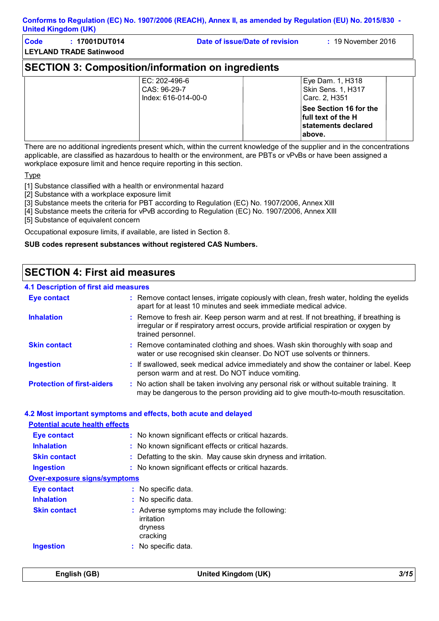| Code<br>$: 17001$ DUT014<br><b>LEYLAND TRADE Satinwood</b> | Date of issue/Date of revision                           | $: 19$ November 2016                                                          |
|------------------------------------------------------------|----------------------------------------------------------|-------------------------------------------------------------------------------|
|                                                            | <b>SECTION 3: Composition/information on ingredients</b> |                                                                               |
|                                                            | EC: 202-496-6<br>CAS: 96-29-7<br>Index: 616-014-00-0     | Eye Dam. 1, H318<br>Skin Sens. 1, H317<br>Carc. 2, H351                       |
|                                                            |                                                          | See Section 16 for the<br>full text of the H<br>statements declared<br>above. |

There are no additional ingredients present which, within the current knowledge of the supplier and in the concentrations applicable, are classified as hazardous to health or the environment, are PBTs or vPvBs or have been assigned a workplace exposure limit and hence require reporting in this section.

Type

[1] Substance classified with a health or environmental hazard

[2] Substance with a workplace exposure limit

[3] Substance meets the criteria for PBT according to Regulation (EC) No. 1907/2006, Annex XIII

[4] Substance meets the criteria for vPvB according to Regulation (EC) No. 1907/2006, Annex XIII

[5] Substance of equivalent concern

Occupational exposure limits, if available, are listed in Section 8.

#### **SUB codes represent substances without registered CAS Numbers.**

# **SECTION 4: First aid measures**

#### **4.1 Description of first aid measures**

| <b>Eye contact</b>                | : Remove contact lenses, irrigate copiously with clean, fresh water, holding the eyelids<br>apart for at least 10 minutes and seek immediate medical advice.                                           |
|-----------------------------------|--------------------------------------------------------------------------------------------------------------------------------------------------------------------------------------------------------|
| <b>Inhalation</b>                 | : Remove to fresh air. Keep person warm and at rest. If not breathing, if breathing is<br>irregular or if respiratory arrest occurs, provide artificial respiration or oxygen by<br>trained personnel. |
| <b>Skin contact</b>               | : Remove contaminated clothing and shoes. Wash skin thoroughly with soap and<br>water or use recognised skin cleanser. Do NOT use solvents or thinners.                                                |
| <b>Ingestion</b>                  | : If swallowed, seek medical advice immediately and show the container or label. Keep<br>person warm and at rest. Do NOT induce vomiting.                                                              |
| <b>Protection of first-aiders</b> | : No action shall be taken involving any personal risk or without suitable training. It<br>may be dangerous to the person providing aid to give mouth-to-mouth resuscitation.                          |

#### **4.2 Most important symptoms and effects, both acute and delayed**

| <b>Potential acute health effects</b> |                                                                                    |
|---------------------------------------|------------------------------------------------------------------------------------|
| <b>Eye contact</b>                    | : No known significant effects or critical hazards.                                |
| <b>Inhalation</b>                     | : No known significant effects or critical hazards.                                |
| <b>Skin contact</b>                   | : Defatting to the skin. May cause skin dryness and irritation.                    |
| <b>Ingestion</b>                      | : No known significant effects or critical hazards.                                |
| <b>Over-exposure signs/symptoms</b>   |                                                                                    |
| <b>Eye contact</b>                    | : No specific data.                                                                |
| <b>Inhalation</b>                     | : No specific data.                                                                |
| <b>Skin contact</b>                   | : Adverse symptoms may include the following:<br>irritation<br>dryness<br>cracking |
| <b>Ingestion</b>                      | No specific data.                                                                  |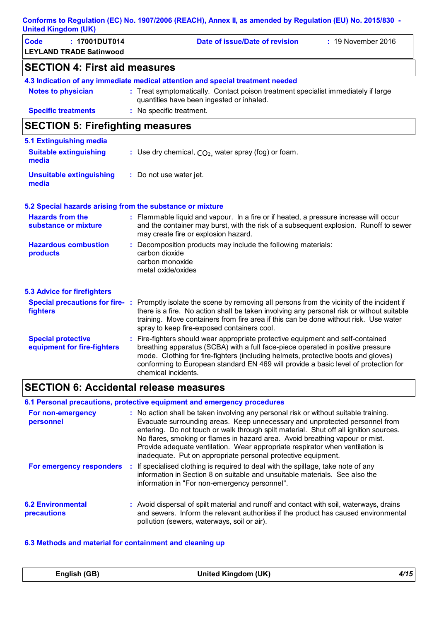| Code<br>$: 17001$ DUT014<br><b>LEYLAND TRADE Satinwood</b> | Date of issue/Date of revision | $\div$ 19 November 2016 |
|------------------------------------------------------------|--------------------------------|-------------------------|
| <b>SECTION 4: First aid measures</b>                       |                                |                         |

| $\sim$ בס ווסטון דו ווטג מומ            |                                                                                                                                |
|-----------------------------------------|--------------------------------------------------------------------------------------------------------------------------------|
|                                         | 4.3 Indication of any immediate medical attention and special treatment needed                                                 |
| <b>Notes to physician</b>               | : Treat symptomatically. Contact poison treatment specialist immediately if large<br>quantities have been ingested or inhaled. |
| <b>Specific treatments</b>              | : No specific treatment.                                                                                                       |
| <b>SECTION 5: Firefighting measures</b> |                                                                                                                                |

| 5.1 Extinguishing media                                   |                                                                                                                                                                                                                                                                                                                                                                       |  |  |  |
|-----------------------------------------------------------|-----------------------------------------------------------------------------------------------------------------------------------------------------------------------------------------------------------------------------------------------------------------------------------------------------------------------------------------------------------------------|--|--|--|
| <b>Suitable extinguishing</b><br>media                    | : Use dry chemical, $CO2$ , water spray (fog) or foam.                                                                                                                                                                                                                                                                                                                |  |  |  |
| <b>Unsuitable extinguishing</b><br>media                  | : Do not use water jet.                                                                                                                                                                                                                                                                                                                                               |  |  |  |
| 5.2 Special hazards arising from the substance or mixture |                                                                                                                                                                                                                                                                                                                                                                       |  |  |  |
| <b>Hazards from the</b><br>substance or mixture           | : Flammable liquid and vapour. In a fire or if heated, a pressure increase will occur<br>and the container may burst, with the risk of a subsequent explosion. Runoff to sewer<br>may create fire or explosion hazard.                                                                                                                                                |  |  |  |
| <b>Hazardous combustion</b><br>products                   | : Decomposition products may include the following materials:<br>carbon dioxide<br>carbon monoxide<br>metal oxide/oxides                                                                                                                                                                                                                                              |  |  |  |
| <b>5.3 Advice for firefighters</b>                        |                                                                                                                                                                                                                                                                                                                                                                       |  |  |  |
| fighters                                                  | Special precautions for fire-: Promptly isolate the scene by removing all persons from the vicinity of the incident if<br>there is a fire. No action shall be taken involving any personal risk or without suitable<br>training. Move containers from fire area if this can be done without risk. Use water<br>spray to keep fire-exposed containers cool.            |  |  |  |
| <b>Special protective</b><br>equipment for fire-fighters  | : Fire-fighters should wear appropriate protective equipment and self-contained<br>breathing apparatus (SCBA) with a full face-piece operated in positive pressure<br>mode. Clothing for fire-fighters (including helmets, protective boots and gloves)<br>conforming to European standard EN 469 will provide a basic level of protection for<br>chemical incidents. |  |  |  |

# **SECTION 6: Accidental release measures**

**6.1 Personal precautions, protective equipment and emergency procedures**

| For non-emergency<br>personnel          |    | : No action shall be taken involving any personal risk or without suitable training.<br>Evacuate surrounding areas. Keep unnecessary and unprotected personnel from<br>entering. Do not touch or walk through spilt material. Shut off all ignition sources.<br>No flares, smoking or flames in hazard area. Avoid breathing vapour or mist.<br>Provide adequate ventilation. Wear appropriate respirator when ventilation is<br>inadequate. Put on appropriate personal protective equipment. |
|-----------------------------------------|----|------------------------------------------------------------------------------------------------------------------------------------------------------------------------------------------------------------------------------------------------------------------------------------------------------------------------------------------------------------------------------------------------------------------------------------------------------------------------------------------------|
| For emergency responders                | ÷. | If specialised clothing is required to deal with the spillage, take note of any<br>information in Section 8 on suitable and unsuitable materials. See also the<br>information in "For non-emergency personnel".                                                                                                                                                                                                                                                                                |
| <b>6.2 Environmental</b><br>precautions |    | : Avoid dispersal of spilt material and runoff and contact with soil, waterways, drains<br>and sewers. Inform the relevant authorities if the product has caused environmental<br>pollution (sewers, waterways, soil or air).                                                                                                                                                                                                                                                                  |

#### **6.3 Methods and material for containment and cleaning up**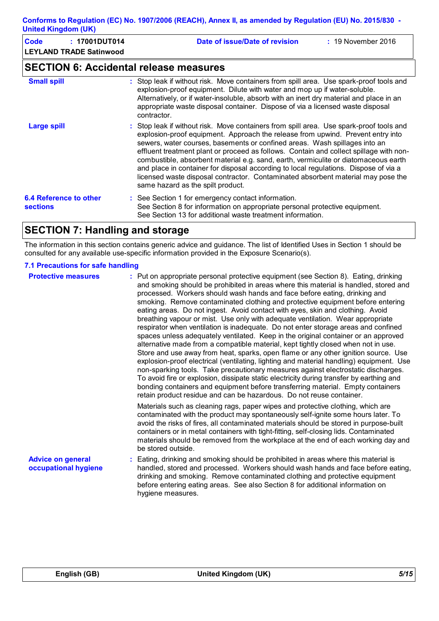| Code | : 17001DUT014                  | Date of issue/Date of revision | $\div$ 19 November 2016 |
|------|--------------------------------|--------------------------------|-------------------------|
|      | <b>LEYLAND TRADE Satinwood</b> |                                |                         |

# **SECTION 6: Accidental release measures**

| <b>Small spill</b>                               | : Stop leak if without risk. Move containers from spill area. Use spark-proof tools and<br>explosion-proof equipment. Dilute with water and mop up if water-soluble.<br>Alternatively, or if water-insoluble, absorb with an inert dry material and place in an<br>appropriate waste disposal container. Dispose of via a licensed waste disposal<br>contractor.                                                                                                                                                                                                                                                                                           |
|--------------------------------------------------|------------------------------------------------------------------------------------------------------------------------------------------------------------------------------------------------------------------------------------------------------------------------------------------------------------------------------------------------------------------------------------------------------------------------------------------------------------------------------------------------------------------------------------------------------------------------------------------------------------------------------------------------------------|
| <b>Large spill</b>                               | : Stop leak if without risk. Move containers from spill area. Use spark-proof tools and<br>explosion-proof equipment. Approach the release from upwind. Prevent entry into<br>sewers, water courses, basements or confined areas. Wash spillages into an<br>effluent treatment plant or proceed as follows. Contain and collect spillage with non-<br>combustible, absorbent material e.g. sand, earth, vermiculite or diatomaceous earth<br>and place in container for disposal according to local regulations. Dispose of via a<br>licensed waste disposal contractor. Contaminated absorbent material may pose the<br>same hazard as the spilt product. |
| <b>6.4 Reference to other</b><br><b>sections</b> | : See Section 1 for emergency contact information.<br>See Section 8 for information on appropriate personal protective equipment.<br>See Section 13 for additional waste treatment information.                                                                                                                                                                                                                                                                                                                                                                                                                                                            |

# **SECTION 7: Handling and storage**

The information in this section contains generic advice and guidance. The list of Identified Uses in Section 1 should be consulted for any available use-specific information provided in the Exposure Scenario(s).

#### **7.1 Precautions for safe handling**

| <b>Protective measures</b>                       | : Put on appropriate personal protective equipment (see Section 8). Eating, drinking<br>and smoking should be prohibited in areas where this material is handled, stored and<br>processed. Workers should wash hands and face before eating, drinking and<br>smoking. Remove contaminated clothing and protective equipment before entering<br>eating areas. Do not ingest. Avoid contact with eyes, skin and clothing. Avoid<br>breathing vapour or mist. Use only with adequate ventilation. Wear appropriate<br>respirator when ventilation is inadequate. Do not enter storage areas and confined<br>spaces unless adequately ventilated. Keep in the original container or an approved<br>alternative made from a compatible material, kept tightly closed when not in use.<br>Store and use away from heat, sparks, open flame or any other ignition source. Use<br>explosion-proof electrical (ventilating, lighting and material handling) equipment. Use<br>non-sparking tools. Take precautionary measures against electrostatic discharges.<br>To avoid fire or explosion, dissipate static electricity during transfer by earthing and<br>bonding containers and equipment before transferring material. Empty containers<br>retain product residue and can be hazardous. Do not reuse container. |
|--------------------------------------------------|---------------------------------------------------------------------------------------------------------------------------------------------------------------------------------------------------------------------------------------------------------------------------------------------------------------------------------------------------------------------------------------------------------------------------------------------------------------------------------------------------------------------------------------------------------------------------------------------------------------------------------------------------------------------------------------------------------------------------------------------------------------------------------------------------------------------------------------------------------------------------------------------------------------------------------------------------------------------------------------------------------------------------------------------------------------------------------------------------------------------------------------------------------------------------------------------------------------------------------------------------------------------------------------------------------------|
|                                                  | Materials such as cleaning rags, paper wipes and protective clothing, which are<br>contaminated with the product may spontaneously self-ignite some hours later. To<br>avoid the risks of fires, all contaminated materials should be stored in purpose-built<br>containers or in metal containers with tight-fitting, self-closing lids. Contaminated<br>materials should be removed from the workplace at the end of each working day and<br>be stored outside.                                                                                                                                                                                                                                                                                                                                                                                                                                                                                                                                                                                                                                                                                                                                                                                                                                             |
| <b>Advice on general</b><br>occupational hygiene | : Eating, drinking and smoking should be prohibited in areas where this material is<br>handled, stored and processed. Workers should wash hands and face before eating,<br>drinking and smoking. Remove contaminated clothing and protective equipment<br>before entering eating areas. See also Section 8 for additional information on<br>hygiene measures.                                                                                                                                                                                                                                                                                                                                                                                                                                                                                                                                                                                                                                                                                                                                                                                                                                                                                                                                                 |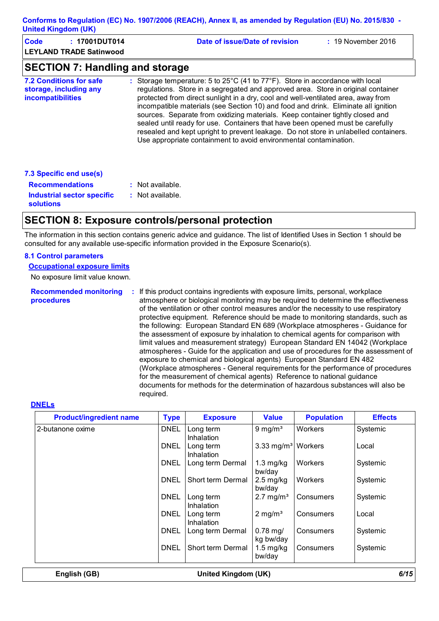| $OPTATIAL$ $\overline{7}$ . Heighlines and atamasia |                                |                         |
|-----------------------------------------------------|--------------------------------|-------------------------|
| <b>LEYLAND TRADE Satinwood</b>                      |                                |                         |
| Code<br>$: 17001$ DUT014                            | Date of issue/Date of revision | $\div$ 19 November 2016 |

### **SECTION 7: Handling and storage**

| <b>7.2 Conditions for safe</b><br>storage, including any<br><i>incompatibilities</i> | : Storage temperature: 5 to $25^{\circ}$ C (41 to $77^{\circ}$ F). Store in accordance with local<br>regulations. Store in a segregated and approved area. Store in original container<br>protected from direct sunlight in a dry, cool and well-ventilated area, away from<br>incompatible materials (see Section 10) and food and drink. Eliminate all ignition<br>sources. Separate from oxidizing materials. Keep container tightly closed and<br>sealed until ready for use. Containers that have been opened must be carefully<br>resealed and kept upright to prevent leakage. Do not store in unlabelled containers.<br>Use appropriate containment to avoid environmental contamination. |
|--------------------------------------------------------------------------------------|---------------------------------------------------------------------------------------------------------------------------------------------------------------------------------------------------------------------------------------------------------------------------------------------------------------------------------------------------------------------------------------------------------------------------------------------------------------------------------------------------------------------------------------------------------------------------------------------------------------------------------------------------------------------------------------------------|
| 7.3 Specific end use(s)                                                              |                                                                                                                                                                                                                                                                                                                                                                                                                                                                                                                                                                                                                                                                                                   |
| <b>Recommendations</b>                                                               | $:$ Not available.                                                                                                                                                                                                                                                                                                                                                                                                                                                                                                                                                                                                                                                                                |
| <b>Industrial sector specific</b><br><b>solutions</b>                                | $:$ Not available.                                                                                                                                                                                                                                                                                                                                                                                                                                                                                                                                                                                                                                                                                |

### **SECTION 8: Exposure controls/personal protection**

The information in this section contains generic advice and guidance. The list of Identified Uses in Section 1 should be consulted for any available use-specific information provided in the Exposure Scenario(s).

#### **8.1 Control parameters**

#### **Occupational exposure limits**

No exposure limit value known.

**Recommended monitoring procedures :** If this product contains ingredients with exposure limits, personal, workplace atmosphere or biological monitoring may be required to determine the effectiveness of the ventilation or other control measures and/or the necessity to use respiratory protective equipment. Reference should be made to monitoring standards, such as the following: European Standard EN 689 (Workplace atmospheres - Guidance for the assessment of exposure by inhalation to chemical agents for comparison with limit values and measurement strategy) European Standard EN 14042 (Workplace atmospheres - Guide for the application and use of procedures for the assessment of exposure to chemical and biological agents) European Standard EN 482 (Workplace atmospheres - General requirements for the performance of procedures for the measurement of chemical agents) Reference to national guidance documents for methods for the determination of hazardous substances will also be required.

#### **DNELs**

| <b>Product/ingredient name</b> | <b>Type</b> | <b>Exposure</b>         | <b>Value</b>                   | <b>Population</b> | <b>Effects</b> |
|--------------------------------|-------------|-------------------------|--------------------------------|-------------------|----------------|
| 2-butanone oxime               | <b>DNEL</b> | Long term<br>Inhalation | $9 \text{ mg/m}^3$             | Workers           | Systemic       |
|                                | <b>DNEL</b> | Long term<br>Inhalation | 3.33 mg/m <sup>3</sup> Workers |                   | Local          |
|                                | <b>DNEL</b> | Long term Dermal        | 1.3 mg/kg<br>bw/day            | Workers           | Systemic       |
|                                | <b>DNEL</b> | Short term Dermal       | $2.5 \text{ mg/kg}$<br>bw/day  | Workers           | Systemic       |
|                                | <b>DNEL</b> | Long term<br>Inhalation | $2.7 \text{ mg/m}^3$           | Consumers         | Systemic       |
|                                | <b>DNEL</b> | Long term<br>Inhalation | $2 \text{ mg/m}^3$             | Consumers         | Local          |
|                                | <b>DNEL</b> | Long term Dermal        | $0.78$ mg/<br>kg bw/day        | Consumers         | Systemic       |
|                                | <b>DNEL</b> | Short term Dermal       | $1.5$ mg/kg<br>bw/day          | Consumers         | Systemic       |
| English (GB)                   |             | United Kingdom (UK)     |                                |                   | 6/15           |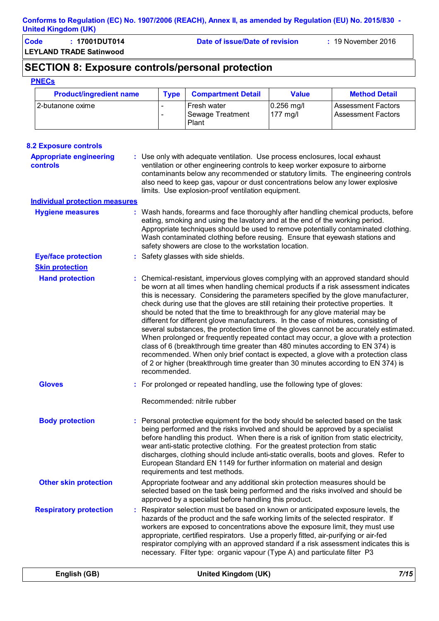| Code | $: 17001$ DUT014 | Date of issue/Date of revision | : 19 November 2016 |  |  |
|------|------------------|--------------------------------|--------------------|--|--|
|      | .                |                                |                    |  |  |

#### **LEYLAND TRADE Satinwood**

# **SECTION 8: Exposure controls/personal protection**

#### **PNECs**

| <b>Product/ingredient name</b> | <b>T</b> vpe | <b>Compartment Detail</b>         | <b>Value</b>                              | <b>Method Detail</b>                                   |
|--------------------------------|--------------|-----------------------------------|-------------------------------------------|--------------------------------------------------------|
| l 2-butanone oxime             |              | I Fresh water<br>Sewage Treatment | $ 0.256 \text{ mg} $<br>$177 \text{ mgl}$ | <b>Assessment Factors</b><br><b>Assessment Factors</b> |
|                                |              | <b>Plant</b>                      |                                           |                                                        |

| <b>8.2 Exposure controls</b>               |                                                                                                                                                                                                                                                                                                                                                                                                                                                                                                                                                                                                                                                                                                                                                                                                                                                                                                                                                                                          |
|--------------------------------------------|------------------------------------------------------------------------------------------------------------------------------------------------------------------------------------------------------------------------------------------------------------------------------------------------------------------------------------------------------------------------------------------------------------------------------------------------------------------------------------------------------------------------------------------------------------------------------------------------------------------------------------------------------------------------------------------------------------------------------------------------------------------------------------------------------------------------------------------------------------------------------------------------------------------------------------------------------------------------------------------|
| <b>Appropriate engineering</b><br>controls | : Use only with adequate ventilation. Use process enclosures, local exhaust<br>ventilation or other engineering controls to keep worker exposure to airborne<br>contaminants below any recommended or statutory limits. The engineering controls<br>also need to keep gas, vapour or dust concentrations below any lower explosive<br>limits. Use explosion-proof ventilation equipment.                                                                                                                                                                                                                                                                                                                                                                                                                                                                                                                                                                                                 |
| <b>Individual protection measures</b>      |                                                                                                                                                                                                                                                                                                                                                                                                                                                                                                                                                                                                                                                                                                                                                                                                                                                                                                                                                                                          |
| <b>Hygiene measures</b>                    | : Wash hands, forearms and face thoroughly after handling chemical products, before<br>eating, smoking and using the lavatory and at the end of the working period.<br>Appropriate techniques should be used to remove potentially contaminated clothing.<br>Wash contaminated clothing before reusing. Ensure that eyewash stations and<br>safety showers are close to the workstation location.                                                                                                                                                                                                                                                                                                                                                                                                                                                                                                                                                                                        |
| <b>Eye/face protection</b>                 | Safety glasses with side shields.                                                                                                                                                                                                                                                                                                                                                                                                                                                                                                                                                                                                                                                                                                                                                                                                                                                                                                                                                        |
| <b>Skin protection</b>                     |                                                                                                                                                                                                                                                                                                                                                                                                                                                                                                                                                                                                                                                                                                                                                                                                                                                                                                                                                                                          |
| <b>Hand protection</b>                     | : Chemical-resistant, impervious gloves complying with an approved standard should<br>be worn at all times when handling chemical products if a risk assessment indicates<br>this is necessary. Considering the parameters specified by the glove manufacturer,<br>check during use that the gloves are still retaining their protective properties. It<br>should be noted that the time to breakthrough for any glove material may be<br>different for different glove manufacturers. In the case of mixtures, consisting of<br>several substances, the protection time of the gloves cannot be accurately estimated.<br>When prolonged or frequently repeated contact may occur, a glove with a protection<br>class of 6 (breakthrough time greater than 480 minutes according to EN 374) is<br>recommended. When only brief contact is expected, a glove with a protection class<br>of 2 or higher (breakthrough time greater than 30 minutes according to EN 374) is<br>recommended. |
| <b>Gloves</b>                              | For prolonged or repeated handling, use the following type of gloves:                                                                                                                                                                                                                                                                                                                                                                                                                                                                                                                                                                                                                                                                                                                                                                                                                                                                                                                    |
|                                            | Recommended: nitrile rubber                                                                                                                                                                                                                                                                                                                                                                                                                                                                                                                                                                                                                                                                                                                                                                                                                                                                                                                                                              |
| <b>Body protection</b>                     | Personal protective equipment for the body should be selected based on the task<br>being performed and the risks involved and should be approved by a specialist<br>before handling this product. When there is a risk of ignition from static electricity,<br>wear anti-static protective clothing. For the greatest protection from static<br>discharges, clothing should include anti-static overalls, boots and gloves. Refer to<br>European Standard EN 1149 for further information on material and design<br>requirements and test methods.                                                                                                                                                                                                                                                                                                                                                                                                                                       |
| <b>Other skin protection</b>               | Appropriate footwear and any additional skin protection measures should be<br>selected based on the task being performed and the risks involved and should be<br>approved by a specialist before handling this product.                                                                                                                                                                                                                                                                                                                                                                                                                                                                                                                                                                                                                                                                                                                                                                  |
| <b>Respiratory protection</b>              | Respirator selection must be based on known or anticipated exposure levels, the<br>hazards of the product and the safe working limits of the selected respirator. If<br>workers are exposed to concentrations above the exposure limit, they must use<br>appropriate, certified respirators. Use a properly fitted, air-purifying or air-fed<br>respirator complying with an approved standard if a risk assessment indicates this is<br>necessary. Filter type: organic vapour (Type A) and particulate filter P3                                                                                                                                                                                                                                                                                                                                                                                                                                                                       |
|                                            |                                                                                                                                                                                                                                                                                                                                                                                                                                                                                                                                                                                                                                                                                                                                                                                                                                                                                                                                                                                          |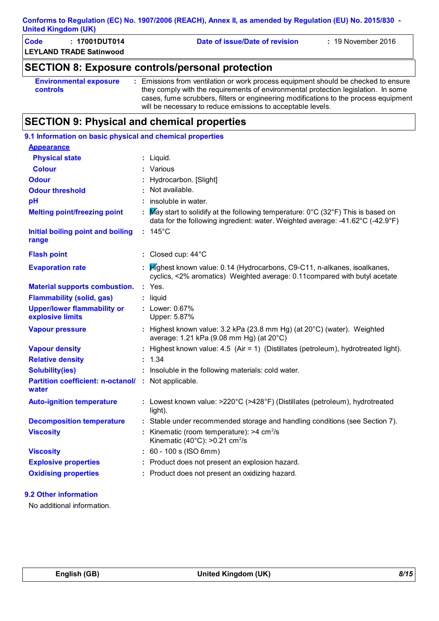|                            | Conforms to Regulation (EC) No. 1907/2006 (REACH), Annex II, as amended by Regulation (EU) No. 2015/830 - |
|----------------------------|-----------------------------------------------------------------------------------------------------------|
| <b>United Kingdom (UK)</b> |                                                                                                           |

| <b>Code</b> | $: 17001$ DUT014               | Date of issue/Date of revision | $: 19$ November 2016 |
|-------------|--------------------------------|--------------------------------|----------------------|
|             | <b>LEYLAND TRADE Satinwood</b> |                                |                      |

### **SECTION 8: Exposure controls/personal protection**

**Environmental exposure controls :** Emissions from ventilation or work process equipment should be checked to ensure they comply with the requirements of environmental protection legislation. In some cases, fume scrubbers, filters or engineering modifications to the process equipment will be necessary to reduce emissions to acceptable levels.

# **SECTION 9: Physical and chemical properties**

| 9.1 Information on basic physical and chemical properties           |                                                                                                                                                                                          |
|---------------------------------------------------------------------|------------------------------------------------------------------------------------------------------------------------------------------------------------------------------------------|
| <b>Appearance</b>                                                   |                                                                                                                                                                                          |
| <b>Physical state</b>                                               | $:$ Liquid.                                                                                                                                                                              |
| <b>Colour</b>                                                       | : Various                                                                                                                                                                                |
| <b>Odour</b>                                                        | : Hydrocarbon. [Slight]                                                                                                                                                                  |
| <b>Odour threshold</b>                                              | : Not available.                                                                                                                                                                         |
| pH                                                                  | $:$ insoluble in water.                                                                                                                                                                  |
| <b>Melting point/freezing point</b>                                 | : May start to solidify at the following temperature: $0^{\circ}$ C (32 $^{\circ}$ F) This is based on<br>data for the following ingredient: water. Weighted average: -41.62°C (-42.9°F) |
| Initial boiling point and boiling<br>range                          | $: 145^{\circ}$ C                                                                                                                                                                        |
| <b>Flash point</b>                                                  | : Closed cup: 44°C                                                                                                                                                                       |
| <b>Evaporation rate</b>                                             | Highest known value: 0.14 (Hydrocarbons, C9-C11, n-alkanes, isoalkanes,<br>cyclics, <2% aromatics) Weighted average: 0.11compared with butyl acetate                                     |
| <b>Material supports combustion.</b>                                | $:$ Yes.                                                                                                                                                                                 |
| <b>Flammability (solid, gas)</b>                                    | : liquid                                                                                                                                                                                 |
| <b>Upper/lower flammability or</b><br>explosive limits              | : Lower: $0.67\%$<br>Upper: 5.87%                                                                                                                                                        |
| <b>Vapour pressure</b>                                              | : Highest known value: 3.2 kPa (23.8 mm Hg) (at 20°C) (water). Weighted<br>average: 1.21 kPa (9.08 mm Hg) (at 20°C)                                                                      |
| <b>Vapour density</b>                                               | : Highest known value: 4.5 (Air = 1) (Distillates (petroleum), hydrotreated light).                                                                                                      |
| <b>Relative density</b>                                             | : 1.34                                                                                                                                                                                   |
| <b>Solubility(ies)</b>                                              | : Insoluble in the following materials: cold water.                                                                                                                                      |
| <b>Partition coefficient: n-octanol/ :</b> Not applicable.<br>water |                                                                                                                                                                                          |
| <b>Auto-ignition temperature</b>                                    | : Lowest known value: >220°C (>428°F) (Distillates (petroleum), hydrotreated<br>light).                                                                                                  |
| <b>Decomposition temperature</b>                                    | : Stable under recommended storage and handling conditions (see Section 7).                                                                                                              |
| <b>Viscosity</b>                                                    | : Kinematic (room temperature): $>4$ cm <sup>2</sup> /s<br>Kinematic (40 $^{\circ}$ C): >0.21 cm <sup>2</sup> /s                                                                         |
| <b>Viscosity</b>                                                    | $: 60 - 100$ s (ISO 6mm)                                                                                                                                                                 |
| <b>Explosive properties</b>                                         | : Product does not present an explosion hazard.                                                                                                                                          |
| <b>Oxidising properties</b>                                         | : Product does not present an oxidizing hazard.                                                                                                                                          |

#### **9.2 Other information**

No additional information.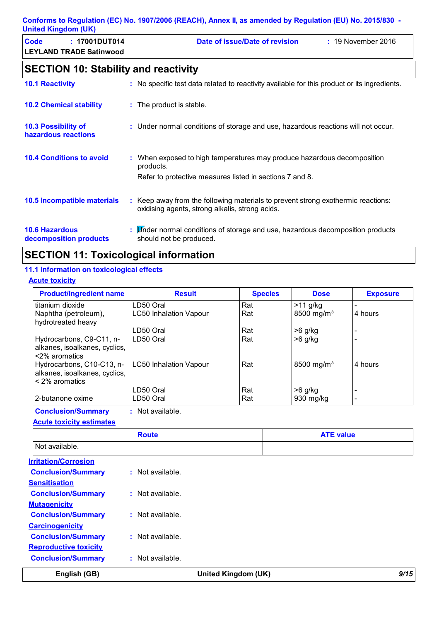| Code | $: 17001$ DUT014               | Date of issue/Date of revision | $: 19$ November 2016 |
|------|--------------------------------|--------------------------------|----------------------|
|      | <b>LEYLAND TRADE Satinwood</b> |                                |                      |

# **SECTION 10: Stability and reactivity**

| <b>10.1 Reactivity</b>                            | : No specific test data related to reactivity available for this product or its ingredients.                                                     |
|---------------------------------------------------|--------------------------------------------------------------------------------------------------------------------------------------------------|
| <b>10.2 Chemical stability</b>                    | : The product is stable.                                                                                                                         |
| <b>10.3 Possibility of</b><br>hazardous reactions | : Under normal conditions of storage and use, hazardous reactions will not occur.                                                                |
| <b>10.4 Conditions to avoid</b>                   | : When exposed to high temperatures may produce hazardous decomposition<br>products.<br>Refer to protective measures listed in sections 7 and 8. |
| 10.5 Incompatible materials                       | : Keep away from the following materials to prevent strong exothermic reactions:<br>oxidising agents, strong alkalis, strong acids.              |
| <b>10.6 Hazardous</b><br>decomposition products   | : Linder normal conditions of storage and use, hazardous decomposition products<br>should not be produced.                                       |

# **SECTION 11: Toxicological information**

#### **11.1 Information on toxicological effects**

#### **Acute toxicity**

| <b>Product/ingredient name</b>                                                 | <b>Result</b>                 | <b>Species</b> | <b>Dose</b>            | <b>Exposure</b> |
|--------------------------------------------------------------------------------|-------------------------------|----------------|------------------------|-----------------|
| titanium dioxide                                                               | LD50 Oral                     | Rat            | $>11$ g/kg             |                 |
| Naphtha (petroleum),<br>hydrotreated heavy                                     | <b>LC50 Inhalation Vapour</b> | Rat            | 8500 mg/m <sup>3</sup> | 4 hours         |
|                                                                                | LD50 Oral                     | Rat            | >6 g/kg                |                 |
| Hydrocarbons, C9-C11, n-<br>alkanes, isoalkanes, cyclics,<br><2% aromatics     | ILD50 Oral                    | Rat            | $>6$ g/kg              |                 |
| Hydrocarbons, C10-C13, n-<br>alkanes, isoalkanes, cyclics,<br>$<$ 2% aromatics | LC50 Inhalation Vapour        | Rat            | 8500 mg/m <sup>3</sup> | 4 hours         |
|                                                                                | LD50 Oral                     | Rat            | $>6$ g/kg              |                 |
| 2-butanone oxime                                                               | LD50 Oral                     | Rat            | 930 mg/kg              |                 |

**Conclusion/Summary :** Not available.

#### **Acute toxicity estimates**

|                              | <b>Route</b>       |                            | <b>ATE value</b> |      |
|------------------------------|--------------------|----------------------------|------------------|------|
| Not available.               |                    |                            |                  |      |
| <b>Irritation/Corrosion</b>  |                    |                            |                  |      |
| <b>Conclusion/Summary</b>    | $:$ Not available. |                            |                  |      |
| <b>Sensitisation</b>         |                    |                            |                  |      |
| <b>Conclusion/Summary</b>    | : Not available.   |                            |                  |      |
| <b>Mutagenicity</b>          |                    |                            |                  |      |
| <b>Conclusion/Summary</b>    | : Not available.   |                            |                  |      |
| <b>Carcinogenicity</b>       |                    |                            |                  |      |
| <b>Conclusion/Summary</b>    | : Not available.   |                            |                  |      |
| <b>Reproductive toxicity</b> |                    |                            |                  |      |
| <b>Conclusion/Summary</b>    | : Not available.   |                            |                  |      |
| English (GB)                 |                    | <b>United Kingdom (UK)</b> |                  | 9/15 |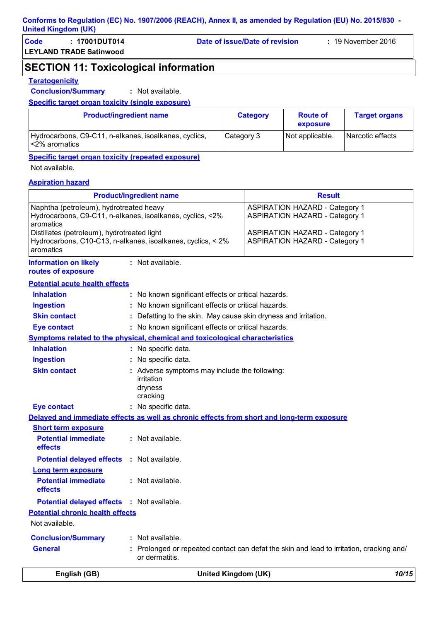| Code | : 17001DUT014                  | Date of issue/Date of revision | $: 19$ November 2016 |
|------|--------------------------------|--------------------------------|----------------------|
|      | <b>LEYLAND TRADE Satinwood</b> |                                |                      |

# **SECTION 11: Toxicological information**

#### **Teratogenicity**

**Conclusion/Summary :** Not available.

**Specific target organ toxicity (single exposure)**

| <b>Product/ingredient name</b>                                           | <b>Category</b> | <b>Route of</b><br>exposure | <b>Target organs</b> |
|--------------------------------------------------------------------------|-----------------|-----------------------------|----------------------|
| Hydrocarbons, C9-C11, n-alkanes, isoalkanes, cyclics,<br>l <2% aromatics | Category 3      | Not applicable.             | Narcotic effects     |

**Specific target organ toxicity (repeated exposure)**

Not available.

#### **Aspiration hazard**

|                                                                             | <b>Product/ingredient name</b>                                                             | <b>Result</b>                                                                          |
|-----------------------------------------------------------------------------|--------------------------------------------------------------------------------------------|----------------------------------------------------------------------------------------|
| Naphtha (petroleum), hydrotreated heavy<br>aromatics                        | Hydrocarbons, C9-C11, n-alkanes, isoalkanes, cyclics, <2%                                  | <b>ASPIRATION HAZARD - Category 1</b><br><b>ASPIRATION HAZARD - Category 1</b>         |
| Distillates (petroleum), hydrotreated light<br>aromatics                    | Hydrocarbons, C10-C13, n-alkanes, isoalkanes, cyclics, < 2%                                | <b>ASPIRATION HAZARD - Category 1</b><br><b>ASPIRATION HAZARD - Category 1</b>         |
| <b>Information on likely</b><br>routes of exposure                          | : Not available.                                                                           |                                                                                        |
| <b>Potential acute health effects</b>                                       |                                                                                            |                                                                                        |
| <b>Inhalation</b>                                                           | : No known significant effects or critical hazards.                                        |                                                                                        |
| <b>Ingestion</b>                                                            | : No known significant effects or critical hazards.                                        |                                                                                        |
| <b>Skin contact</b>                                                         | : Defatting to the skin. May cause skin dryness and irritation.                            |                                                                                        |
| <b>Eye contact</b>                                                          | : No known significant effects or critical hazards.                                        |                                                                                        |
|                                                                             | Symptoms related to the physical, chemical and toxicological characteristics               |                                                                                        |
| <b>Inhalation</b>                                                           | : No specific data.                                                                        |                                                                                        |
| <b>Ingestion</b>                                                            | : No specific data.                                                                        |                                                                                        |
| <b>Skin contact</b>                                                         | : Adverse symptoms may include the following:<br>irritation<br>dryness<br>cracking         |                                                                                        |
| <b>Eye contact</b>                                                          | : No specific data.                                                                        |                                                                                        |
|                                                                             | Delayed and immediate effects as well as chronic effects from short and long-term exposure |                                                                                        |
| <b>Short term exposure</b>                                                  |                                                                                            |                                                                                        |
| <b>Potential immediate</b><br>effects                                       | : Not available.                                                                           |                                                                                        |
| <b>Potential delayed effects</b>                                            | : Not available.                                                                           |                                                                                        |
| <b>Long term exposure</b><br><b>Potential immediate</b><br>effects          | $:$ Not available.                                                                         |                                                                                        |
| <b>Potential delayed effects</b><br><b>Potential chronic health effects</b> | : Not available.                                                                           |                                                                                        |
| Not available.                                                              |                                                                                            |                                                                                        |
|                                                                             |                                                                                            |                                                                                        |
| <b>Conclusion/Summary</b>                                                   | : Not available.                                                                           |                                                                                        |
| <b>General</b>                                                              | or dermatitis.                                                                             | Prolonged or repeated contact can defat the skin and lead to irritation, cracking and/ |
| English (GB)                                                                | <b>United Kingdom (UK)</b>                                                                 | 10/15                                                                                  |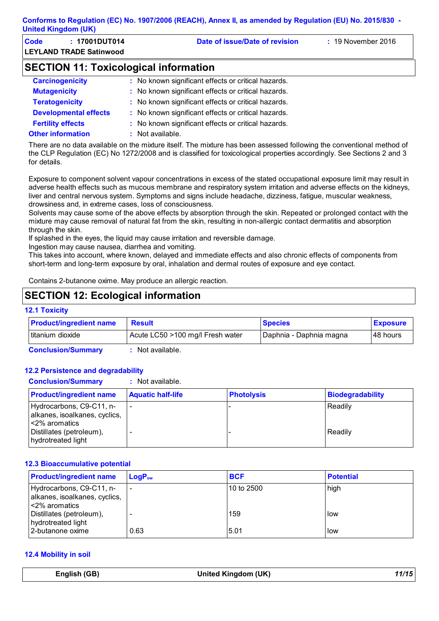| <b>Code</b> | : 17001DUT014                  | Date of issue/Date of revision | 19 November 2016 |
|-------------|--------------------------------|--------------------------------|------------------|
|             | <b>LEYLAND TRADE Satinwood</b> |                                |                  |
|             |                                |                                |                  |

### **SECTION 11: Toxicological information**

| <b>Carcinogenicity</b>       | : No known significant effects or critical hazards. |
|------------------------------|-----------------------------------------------------|
| <b>Mutagenicity</b>          | : No known significant effects or critical hazards. |
| <b>Teratogenicity</b>        | : No known significant effects or critical hazards. |
| <b>Developmental effects</b> | : No known significant effects or critical hazards. |
| <b>Fertility effects</b>     | : No known significant effects or critical hazards. |
| <b>Other information</b>     | : Not available.                                    |

There are no data available on the mixture itself. The mixture has been assessed following the conventional method of the CLP Regulation (EC) No 1272/2008 and is classified for toxicological properties accordingly. See Sections 2 and 3 for details.

Exposure to component solvent vapour concentrations in excess of the stated occupational exposure limit may result in adverse health effects such as mucous membrane and respiratory system irritation and adverse effects on the kidneys, liver and central nervous system. Symptoms and signs include headache, dizziness, fatigue, muscular weakness, drowsiness and, in extreme cases, loss of consciousness.

Solvents may cause some of the above effects by absorption through the skin. Repeated or prolonged contact with the mixture may cause removal of natural fat from the skin, resulting in non-allergic contact dermatitis and absorption through the skin.

If splashed in the eyes, the liquid may cause irritation and reversible damage.

Ingestion may cause nausea, diarrhea and vomiting.

This takes into account, where known, delayed and immediate effects and also chronic effects of components from short-term and long-term exposure by oral, inhalation and dermal routes of exposure and eye contact.

Contains 2-butanone oxime. May produce an allergic reaction.

# **SECTION 12: Ecological information**

#### **12.1 Toxicity**

| Acute LC50 >100 mg/l Fresh water<br>I titanium dioxide<br>I Daphnia - Daphnia magna | <b>Product/ingredient name</b> | <b>Result</b> | <b>Species</b> | <b>Exposure</b> |
|-------------------------------------------------------------------------------------|--------------------------------|---------------|----------------|-----------------|
|                                                                                     |                                |               |                | I48 hours       |

**Conclusion/Summary :** Not available.

#### **12.2 Persistence and degradability**

**Conclusion/Summary :** Not available.

| <b>Product/ingredient name</b>                                              | <b>Aquatic half-life</b> | <b>Photolysis</b> | <b>Biodegradability</b> |
|-----------------------------------------------------------------------------|--------------------------|-------------------|-------------------------|
| Hydrocarbons, C9-C11, n-<br>alkanes, isoalkanes, cyclics,<br>l<2% aromatics |                          |                   | Readily                 |
| Distillates (petroleum),<br>hydrotreated light                              |                          |                   | Readily                 |

#### **12.3 Bioaccumulative potential**

| <b>Product/ingredient name</b>                                               | $LogPow$ | <b>BCF</b> | <b>Potential</b> |
|------------------------------------------------------------------------------|----------|------------|------------------|
| Hydrocarbons, C9-C11, n-<br>alkanes, isoalkanes, cyclics,<br>l <2% aromatics |          | 10 to 2500 | high             |
| Distillates (petroleum),<br>hydrotreated light                               |          | 159        | l low            |
| 2-butanone oxime                                                             | 0.63     | 5.01       | low              |

#### **12.4 Mobility in soil**

| English (GB) | United Kingdom (UK) | 11/15 |
|--------------|---------------------|-------|
|--------------|---------------------|-------|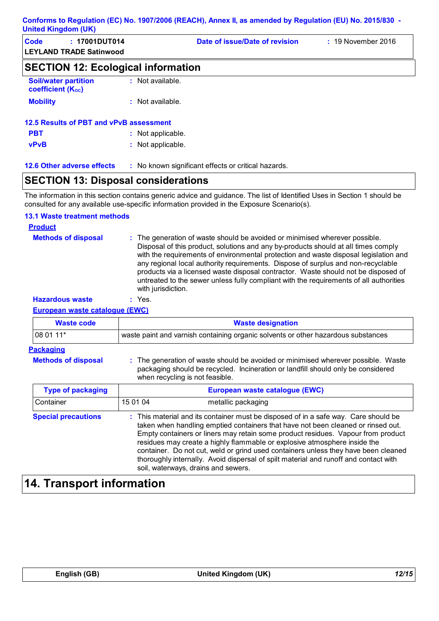| Code | : 17001DUT014<br><b>LEYLAND TRADE Satinwood</b> | Date of issue/Date of revision | $: 19$ November 2016 |
|------|-------------------------------------------------|--------------------------------|----------------------|
|      |                                                 |                                |                      |

# **SECTION 12: Ecological information**

| <b>Soil/water partition</b><br><b>coefficient (Koc)</b> | $:$ Not available. |
|---------------------------------------------------------|--------------------|
| <b>Mobility</b>                                         | : Not available.   |

| 12.5 Results of PBT and vPvB assessment |                   |  |  |
|-----------------------------------------|-------------------|--|--|
| <b>PBT</b>                              | : Not applicable. |  |  |
| <b>vPvB</b>                             | : Not applicable. |  |  |

**12.6 Other adverse effects** : No known significant effects or critical hazards.

### **SECTION 13: Disposal considerations**

The information in this section contains generic advice and guidance. The list of Identified Uses in Section 1 should be consulted for any available use-specific information provided in the Exposure Scenario(s).

#### **13.1 Waste treatment methods**

#### **Product**

| <b>Methods of disposal</b> | : The generation of waste should be avoided or minimised wherever possible.<br>Disposal of this product, solutions and any by-products should at all times comply<br>with the requirements of environmental protection and waste disposal legislation and<br>any regional local authority requirements. Dispose of surplus and non-recyclable<br>products via a licensed waste disposal contractor. Waste should not be disposed of<br>untreated to the sewer unless fully compliant with the requirements of all authorities<br>with jurisdiction. |
|----------------------------|-----------------------------------------------------------------------------------------------------------------------------------------------------------------------------------------------------------------------------------------------------------------------------------------------------------------------------------------------------------------------------------------------------------------------------------------------------------------------------------------------------------------------------------------------------|
|                            |                                                                                                                                                                                                                                                                                                                                                                                                                                                                                                                                                     |

**Hazardous waste :** Yes.

#### **European waste catalogue (EWC)**

| <b>Waste code</b>          | <b>Waste designation</b>                                                                                                                                                                                                                                                                                                                                                                                                                                                                                                                                      |
|----------------------------|---------------------------------------------------------------------------------------------------------------------------------------------------------------------------------------------------------------------------------------------------------------------------------------------------------------------------------------------------------------------------------------------------------------------------------------------------------------------------------------------------------------------------------------------------------------|
| 08 01 11*                  | waste paint and varnish containing organic solvents or other hazardous substances                                                                                                                                                                                                                                                                                                                                                                                                                                                                             |
| <b>Packaging</b>           |                                                                                                                                                                                                                                                                                                                                                                                                                                                                                                                                                               |
| <b>Methods of disposal</b> | : The generation of waste should be avoided or minimised wherever possible. Waste<br>packaging should be recycled. Incineration or landfill should only be considered<br>when recycling is not feasible.                                                                                                                                                                                                                                                                                                                                                      |
| <b>Type of packaging</b>   | European waste catalogue (EWC)                                                                                                                                                                                                                                                                                                                                                                                                                                                                                                                                |
| Container                  | 15 01 04<br>metallic packaging                                                                                                                                                                                                                                                                                                                                                                                                                                                                                                                                |
| <b>Special precautions</b> | : This material and its container must be disposed of in a safe way. Care should be<br>taken when handling emptied containers that have not been cleaned or rinsed out.<br>Empty containers or liners may retain some product residues. Vapour from product<br>residues may create a highly flammable or explosive atmosphere inside the<br>container. Do not cut, weld or grind used containers unless they have been cleaned<br>thoroughly internally. Avoid dispersal of spilt material and runoff and contact with<br>soil, waterways, drains and sewers. |

# **14. Transport information**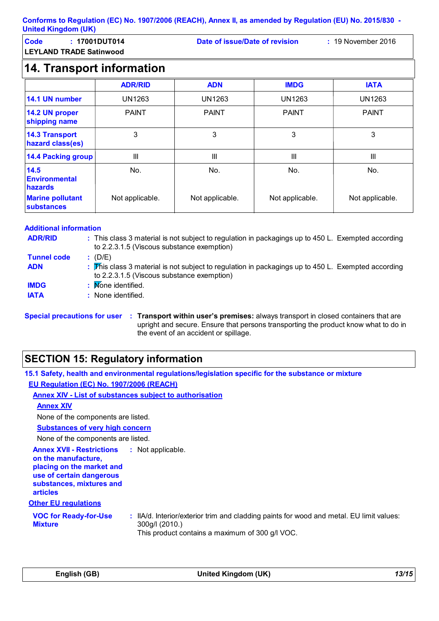**LEYLAND TRADE Satinwood**

**Code : 17001DUT014 Date of issue/Date of revision :** 19 November 2016

```
14. Transport information
```

|                                              | <b>ADR/RID</b>  | <b>ADN</b>      | <b>IMDG</b>     | <b>IATA</b>     |
|----------------------------------------------|-----------------|-----------------|-----------------|-----------------|
| 14.1 UN number                               | <b>UN1263</b>   | <b>UN1263</b>   | <b>UN1263</b>   | <b>UN1263</b>   |
| 14.2 UN proper<br>shipping name              | <b>PAINT</b>    | <b>PAINT</b>    | <b>PAINT</b>    | <b>PAINT</b>    |
| <b>14.3 Transport</b><br>hazard class(es)    | 3               | 3               | 3               | 3               |
| <b>14.4 Packing group</b>                    | III             | III             | Ш               | Ш               |
| 14.5<br>Environmental<br>hazards             | No.             | No.             | No.             | No.             |
| <b>Marine pollutant</b><br><b>substances</b> | Not applicable. | Not applicable. | Not applicable. | Not applicable. |

#### **Additional information**

| <b>ADR/RID</b>     | : This class 3 material is not subject to regulation in packagings up to 450 L. Exempted according<br>to 2.2.3.1.5 (Viscous substance exemption) |
|--------------------|--------------------------------------------------------------------------------------------------------------------------------------------------|
| <b>Tunnel code</b> | (D/E)                                                                                                                                            |
| <b>ADN</b>         | : This class 3 material is not subject to regulation in packagings up to 450 L. Exempted according<br>to 2.2.3.1.5 (Viscous substance exemption) |
| <b>IMDG</b>        | : Mone identified.                                                                                                                               |
| <b>IATA</b>        | : None identified.                                                                                                                               |

**Special precautions for user** : Transport within user's premises: always transport in closed containers that are upright and secure. Ensure that persons transporting the product know what to do in the event of an accident or spillage.

# **SECTION 15: Regulatory information**

|                                                                                                                                                                                                | 15.1 Safety, health and environmental regulations/legislation specific for the substance or mixture                                                           |
|------------------------------------------------------------------------------------------------------------------------------------------------------------------------------------------------|---------------------------------------------------------------------------------------------------------------------------------------------------------------|
| <b>EU Regulation (EC) No. 1907/2006 (REACH)</b>                                                                                                                                                |                                                                                                                                                               |
| <b>Annex XIV - List of substances subject to authorisation</b>                                                                                                                                 |                                                                                                                                                               |
| <b>Annex XIV</b>                                                                                                                                                                               |                                                                                                                                                               |
| None of the components are listed.                                                                                                                                                             |                                                                                                                                                               |
| <b>Substances of very high concern</b>                                                                                                                                                         |                                                                                                                                                               |
| None of the components are listed.                                                                                                                                                             |                                                                                                                                                               |
| <b>Annex XVII - Restrictions</b><br>on the manufacture,<br>placing on the market and<br>use of certain dangerous<br>substances, mixtures and<br><b>articles</b><br><b>Other EU regulations</b> | : Not applicable.                                                                                                                                             |
| <b>VOC for Ready-for-Use</b><br><b>Mixture</b>                                                                                                                                                 | : IIA/d. Interior/exterior trim and cladding paints for wood and metal. EU limit values:<br>300g/l (2010.)<br>This product contains a maximum of 300 g/l VOC. |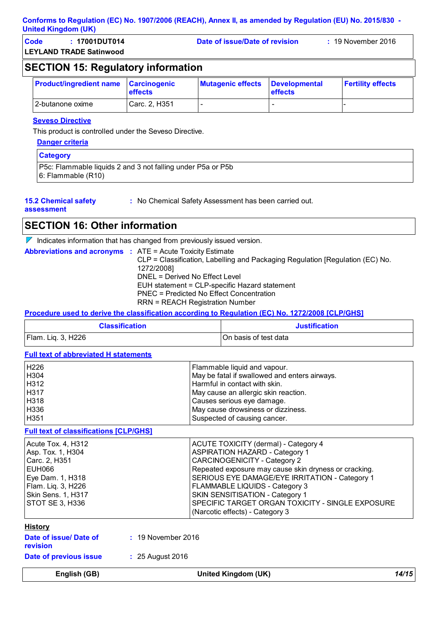| Code | $: 17001$ DUT014               | Date of issue/Date of revision | $: 19$ November 2016 |
|------|--------------------------------|--------------------------------|----------------------|
|      | <b>LEYLAND TRADE Satinwood</b> |                                |                      |

# **SECTION 15: Regulatory information**

| <b>Product/ingredient name Carcinogenic</b> | <b>effects</b> | <b>Mutagenic effects</b> | <b>Developmental</b><br><b>effects</b> | <b>Fertility effects</b> |
|---------------------------------------------|----------------|--------------------------|----------------------------------------|--------------------------|
| 2-butanone oxime                            | Carc. 2, H351  |                          |                                        |                          |

#### **Seveso Directive**

This product is controlled under the Seveso Directive.

| Danger criteria                                                                        |  |
|----------------------------------------------------------------------------------------|--|
| <b>Category</b>                                                                        |  |
| P5c: Flammable liquids 2 and 3 not falling under P5a or P5b<br>$ 6:$ Flammable $(R10)$ |  |

**15.2 Chemical safety** 

**:** No Chemical Safety Assessment has been carried out.

**assessment**

# **SECTION 16: Other information**

 $\nabla$  Indicates information that has changed from previously issued version.

|  | <b>Abbreviations and acronyms : ATE = Acute Toxicity Estimate</b>                |  |
|--|----------------------------------------------------------------------------------|--|
|  | $CLP = Classification$ , Labelling and Packaging Regulation [Regulation (EC) No. |  |
|  | 1272/2008]                                                                       |  |
|  | DNEL = Derived No Effect Level                                                   |  |
|  | EUH statement = CLP-specific Hazard statement                                    |  |
|  | PNEC = Predicted No Effect Concentration                                         |  |
|  | <b>RRN = REACH Registration Number</b>                                           |  |
|  |                                                                                  |  |

#### **Procedure used to derive the classification according to Regulation (EC) No. 1272/2008 [CLP/GHS]**

| <b>Classification</b> | <b>Justification</b>   |
|-----------------------|------------------------|
| Flam. Liq. 3, H226    | IOn basis of test data |

#### **Full text of abbreviated H statements**

| H226 | Flammable liquid and vapour.                  |
|------|-----------------------------------------------|
| H304 | May be fatal if swallowed and enters airways. |
| H312 | Harmful in contact with skin.                 |
| H317 | May cause an allergic skin reaction.          |
| H318 | Causes serious eye damage.                    |
| H336 | May cause drowsiness or dizziness.            |
| H351 | Suspected of causing cancer.                  |

#### **Full text of classifications [CLP/GHS]**

| Acute Tox. 4, H312<br>Asp. Tox. 1, H304<br>Carc. 2, H351<br>EUH066<br>Eye Dam. 1, H318<br>Flam. Liq. 3, H226<br>Skin Sens. 1, H317 | ACUTE TOXICITY (dermal) - Category 4<br><b>ASPIRATION HAZARD - Category 1</b><br><b>CARCINOGENICITY - Category 2</b><br>Repeated exposure may cause skin dryness or cracking.<br>SERIOUS EYE DAMAGE/EYE IRRITATION - Category 1<br>FLAMMABLE LIQUIDS - Category 3<br><b>SKIN SENSITISATION - Category 1</b> |
|------------------------------------------------------------------------------------------------------------------------------------|-------------------------------------------------------------------------------------------------------------------------------------------------------------------------------------------------------------------------------------------------------------------------------------------------------------|
|                                                                                                                                    |                                                                                                                                                                                                                                                                                                             |
| <b>STOT SE 3, H336</b>                                                                                                             | SPECIFIC TARGET ORGAN TOXICITY - SINGLE EXPOSURE<br>(Narcotic effects) - Category 3                                                                                                                                                                                                                         |

#### **History**

**Date of issue/ Date of revision**

**Date of previous issue :** 25 August 2016

#### **English (GB) United Kingdom (UK)** *14/15*